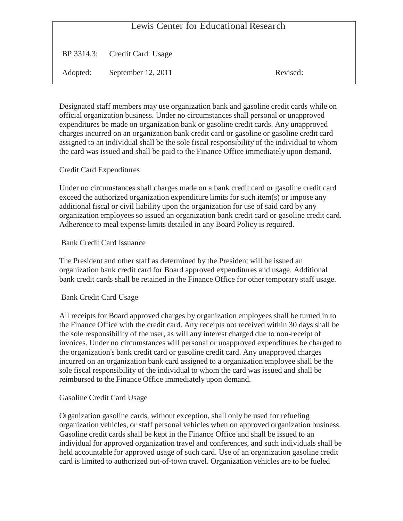# Lewis Center for Educational Research

BP 3314.3: Credit Card Usage

Adopted: September 12, 2011 Revised:

Designated staff members may use organization bank and gasoline credit cards while on official organization business. Under no circumstances shall personal or unapproved expenditures be made on organization bank or gasoline credit cards. Any unapproved charges incurred on an organization bank credit card or gasoline or gasoline credit card assigned to an individual shall be the sole fiscal responsibility of the individual to whom the card was issued and shall be paid to the Finance Office immediately upon demand.

# Credit Card Expenditures

Under no circumstances shall charges made on a bank credit card or gasoline credit card exceed the authorized organization expenditure limits for such item(s) or impose any additional fiscal or civil liability upon the organization for use of said card by any organization employees so issued an organization bank credit card or gasoline credit card. Adherence to meal expense limits detailed in any Board Policy is required.

### Bank Credit Card Issuance

The President and other staff as determined by the President will be issued an organization bank credit card for Board approved expenditures and usage. Additional bank credit cards shall be retained in the Finance Office for other temporary staff usage.

#### Bank Credit Card Usage

All receipts for Board approved charges by organization employees shall be turned in to the Finance Office with the credit card. Any receipts not received within 30 days shall be the sole responsibility of the user, as will any interest charged due to non-receipt of invoices. Under no circumstances will personal or unapproved expenditures be charged to the organization's bank credit card or gasoline credit card. Any unapproved charges incurred on an organization bank card assigned to a organization employee shall be the sole fiscal responsibility of the individual to whom the card was issued and shall be reimbursed to the Finance Office immediately upon demand.

# Gasoline Credit Card Usage

Organization gasoline cards, without exception, shall only be used for refueling organization vehicles, or staff personal vehicles when on approved organization business. Gasoline credit cards shall be kept in the Finance Office and shall be issued to an individual for approved organization travel and conferences, and such individuals shall be held accountable for approved usage of such card. Use of an organization gasoline credit card is limited to authorized out-of-town travel. Organization vehicles are to be fueled